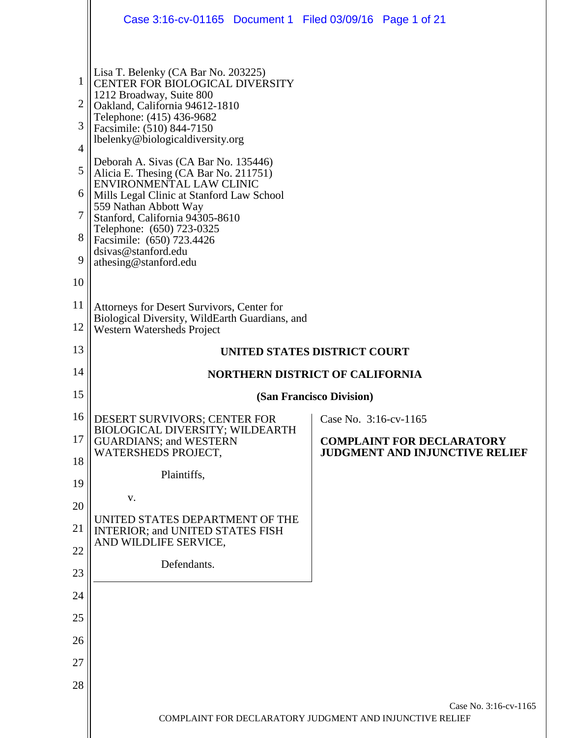|                                                                                              | Case 3:16-cv-01165 Document 1 Filed 03/09/16 Page 1 of 21                                                                                                                                                                                                                                                                                                                                                                                                                                                                                                                                                               |                                                                                   |  |
|----------------------------------------------------------------------------------------------|-------------------------------------------------------------------------------------------------------------------------------------------------------------------------------------------------------------------------------------------------------------------------------------------------------------------------------------------------------------------------------------------------------------------------------------------------------------------------------------------------------------------------------------------------------------------------------------------------------------------------|-----------------------------------------------------------------------------------|--|
| 1<br>$\overline{2}$<br>3<br>$\overline{4}$<br>5<br>6<br>$\overline{7}$<br>8<br>9<br>10<br>11 | Lisa T. Belenky (CA Bar No. 203225)<br>CENTER FOR BIOLOGICAL DIVERSITY<br>1212 Broadway, Suite 800<br>Oakland, California 94612-1810<br>Telephone: (415) 436-9682<br>Facsimile: (510) 844-7150<br>lbelenky@biologicaldiversity.org<br>Deborah A. Sivas (CA Bar No. 135446)<br>Alicia E. Thesing (CA Bar No. 211751)<br><b>ENVIRONMENTAL LAW CLINIC</b><br>Mills Legal Clinic at Stanford Law School<br>559 Nathan Abbott Way<br>Stanford, California 94305-8610<br>Telephone: (650) 723-0325<br>Facsimile: (650) 723.4426<br>dsivas@stanford.edu<br>athesing@stanford.edu<br>Attorneys for Desert Survivors, Center for |                                                                                   |  |
| 12                                                                                           | Biological Diversity, WildEarth Guardians, and                                                                                                                                                                                                                                                                                                                                                                                                                                                                                                                                                                          |                                                                                   |  |
| 13                                                                                           | <b>Western Watersheds Project</b>                                                                                                                                                                                                                                                                                                                                                                                                                                                                                                                                                                                       | UNITED STATES DISTRICT COURT                                                      |  |
| 14                                                                                           | <b>NORTHERN DISTRICT OF CALIFORNIA</b>                                                                                                                                                                                                                                                                                                                                                                                                                                                                                                                                                                                  |                                                                                   |  |
| 15                                                                                           | (San Francisco Division)                                                                                                                                                                                                                                                                                                                                                                                                                                                                                                                                                                                                |                                                                                   |  |
| 16                                                                                           | DESERT SURVIVORS; CENTER FOR                                                                                                                                                                                                                                                                                                                                                                                                                                                                                                                                                                                            | $\vert$ Case No. 3:16-cv-1165                                                     |  |
| 17<br>18                                                                                     | <b>BIOLOGICAL DIVERSITY; WILDEARTH</b><br><b>GUARDIANS; and WESTERN</b><br>WATERSHEDS PROJECT,                                                                                                                                                                                                                                                                                                                                                                                                                                                                                                                          | <b>COMPLAINT FOR DECLARATORY</b><br><b>JUDGMENT AND INJUNCTIVE RELIEF</b>         |  |
| 19                                                                                           | Plaintiffs,                                                                                                                                                                                                                                                                                                                                                                                                                                                                                                                                                                                                             |                                                                                   |  |
| 20                                                                                           | V.                                                                                                                                                                                                                                                                                                                                                                                                                                                                                                                                                                                                                      |                                                                                   |  |
| 21                                                                                           | UNITED STATES DEPARTMENT OF THE<br><b>INTERIOR; and UNITED STATES FISH</b>                                                                                                                                                                                                                                                                                                                                                                                                                                                                                                                                              |                                                                                   |  |
| 22                                                                                           | AND WILDLIFE SERVICE,                                                                                                                                                                                                                                                                                                                                                                                                                                                                                                                                                                                                   |                                                                                   |  |
| 23                                                                                           | Defendants.                                                                                                                                                                                                                                                                                                                                                                                                                                                                                                                                                                                                             |                                                                                   |  |
| 24                                                                                           |                                                                                                                                                                                                                                                                                                                                                                                                                                                                                                                                                                                                                         |                                                                                   |  |
| 25                                                                                           |                                                                                                                                                                                                                                                                                                                                                                                                                                                                                                                                                                                                                         |                                                                                   |  |
| 26                                                                                           |                                                                                                                                                                                                                                                                                                                                                                                                                                                                                                                                                                                                                         |                                                                                   |  |
| 27                                                                                           |                                                                                                                                                                                                                                                                                                                                                                                                                                                                                                                                                                                                                         |                                                                                   |  |
| 28                                                                                           |                                                                                                                                                                                                                                                                                                                                                                                                                                                                                                                                                                                                                         |                                                                                   |  |
|                                                                                              |                                                                                                                                                                                                                                                                                                                                                                                                                                                                                                                                                                                                                         | Case No. 3:16-cv-1165<br>COMPLAINT FOR DECLARATORY JUDGMENT AND INJUNCTIVE RELIEF |  |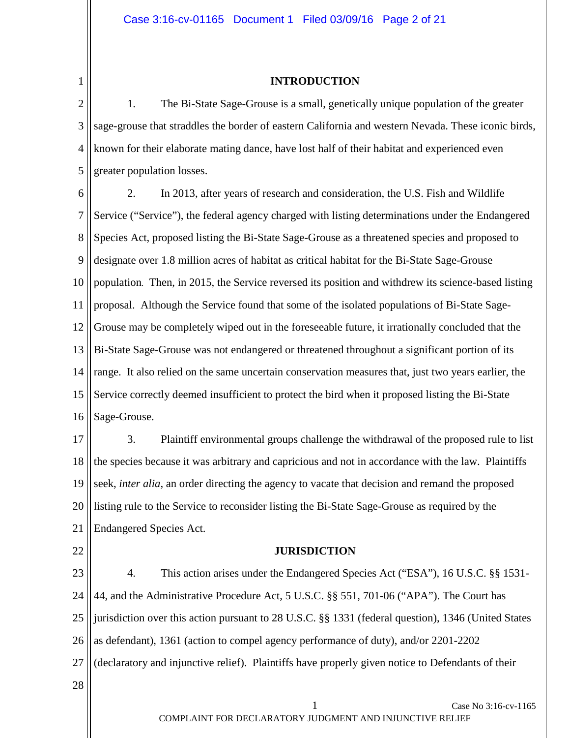# 1

## **INTRODUCTION**

2 3 4 5 1. The Bi-State Sage-Grouse is a small, genetically unique population of the greater sage-grouse that straddles the border of eastern California and western Nevada. These iconic birds, known for their elaborate mating dance, have lost half of their habitat and experienced even greater population losses.

6 7 8 9 10 11 12 13 14 15 16 2. In 2013, after years of research and consideration, the U.S. Fish and Wildlife Service ("Service"), the federal agency charged with listing determinations under the Endangered Species Act, proposed listing the Bi-State Sage-Grouse as a threatened species and proposed to designate over 1.8 million acres of habitat as critical habitat for the Bi-State Sage-Grouse population. Then, in 2015, the Service reversed its position and withdrew its science-based listing proposal. Although the Service found that some of the isolated populations of Bi-State Sage-Grouse may be completely wiped out in the foreseeable future, it irrationally concluded that the Bi-State Sage-Grouse was not endangered or threatened throughout a significant portion of its range. It also relied on the same uncertain conservation measures that, just two years earlier, the Service correctly deemed insufficient to protect the bird when it proposed listing the Bi-State Sage-Grouse.

17 18 19 20 21 3. Plaintiff environmental groups challenge the withdrawal of the proposed rule to list the species because it was arbitrary and capricious and not in accordance with the law. Plaintiffs seek, *inter alia,* an order directing the agency to vacate that decision and remand the proposed listing rule to the Service to reconsider listing the Bi-State Sage-Grouse as required by the Endangered Species Act.

22

## **JURISDICTION**

23 24 25 26 27 28 4. This action arises under the Endangered Species Act ("ESA"), 16 U.S.C. §§ 1531- 44, and the Administrative Procedure Act, 5 U.S.C. §§ 551, 701-06 ("APA"). The Court has jurisdiction over this action pursuant to 28 U.S.C. §§ 1331 (federal question), 1346 (United States as defendant), 1361 (action to compel agency performance of duty), and/or 2201-2202 (declaratory and injunctive relief). Plaintiffs have properly given notice to Defendants of their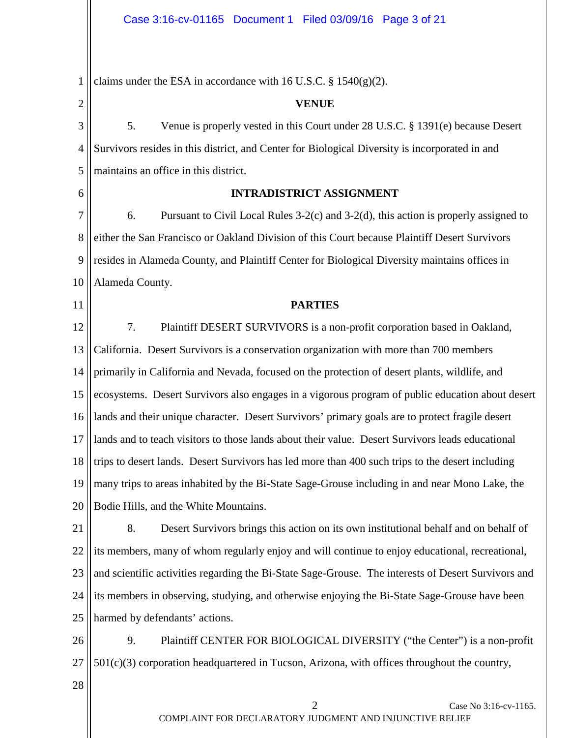1 claims under the ESA in accordance with 16 U.S.C. § 1540(g)(2).

 $\mathbb{I}$ 

| $\overline{c}$ | <b>VENUE</b>                                                                                        |  |
|----------------|-----------------------------------------------------------------------------------------------------|--|
| 3              | 5.<br>Venue is properly vested in this Court under 28 U.S.C. § 1391(e) because Desert               |  |
| 4              | Survivors resides in this district, and Center for Biological Diversity is incorporated in and      |  |
| 5              | maintains an office in this district.                                                               |  |
| 6              | <b>INTRADISTRICT ASSIGNMENT</b>                                                                     |  |
| 7              | 6.<br>Pursuant to Civil Local Rules $3-2(c)$ and $3-2(d)$ , this action is properly assigned to     |  |
| 8              | either the San Francisco or Oakland Division of this Court because Plaintiff Desert Survivors       |  |
| 9              | resides in Alameda County, and Plaintiff Center for Biological Diversity maintains offices in       |  |
| 10             | Alameda County.                                                                                     |  |
| 11             | <b>PARTIES</b>                                                                                      |  |
| 12             | 7.<br>Plaintiff DESERT SURVIVORS is a non-profit corporation based in Oakland,                      |  |
| 13             | California. Desert Survivors is a conservation organization with more than 700 members              |  |
| 14             | primarily in California and Nevada, focused on the protection of desert plants, wildlife, and       |  |
| 15             | ecosystems. Desert Survivors also engages in a vigorous program of public education about desert    |  |
| 16             | lands and their unique character. Desert Survivors' primary goals are to protect fragile desert     |  |
| 17             | lands and to teach visitors to those lands about their value. Desert Survivors leads educational    |  |
| 18             | trips to desert lands. Desert Survivors has led more than 400 such trips to the desert including    |  |
| 19             | many trips to areas inhabited by the Bi-State Sage-Grouse including in and near Mono Lake, the      |  |
| 20             | Bodie Hills, and the White Mountains.                                                               |  |
| 21             | 8.<br>Desert Survivors brings this action on its own institutional behalf and on behalf of          |  |
| 22             | its members, many of whom regularly enjoy and will continue to enjoy educational, recreational,     |  |
| 23             | and scientific activities regarding the Bi-State Sage-Grouse. The interests of Desert Survivors and |  |
| 24             | its members in observing, studying, and otherwise enjoying the Bi-State Sage-Grouse have been       |  |
| 25             | harmed by defendants' actions.                                                                      |  |
| 26             | Plaintiff CENTER FOR BIOLOGICAL DIVERSITY ("the Center") is a non-profit<br>9.                      |  |
| 27             | $501(c)(3)$ corporation headquartered in Tucson, Arizona, with offices throughout the country,      |  |
| 28             |                                                                                                     |  |
|                | $\overline{2}$<br>Case No 3:16-cv-1165.<br>COMPLAINT FOR DECLARATORY JUDGMENT AND INJUNCTIVE RELIEF |  |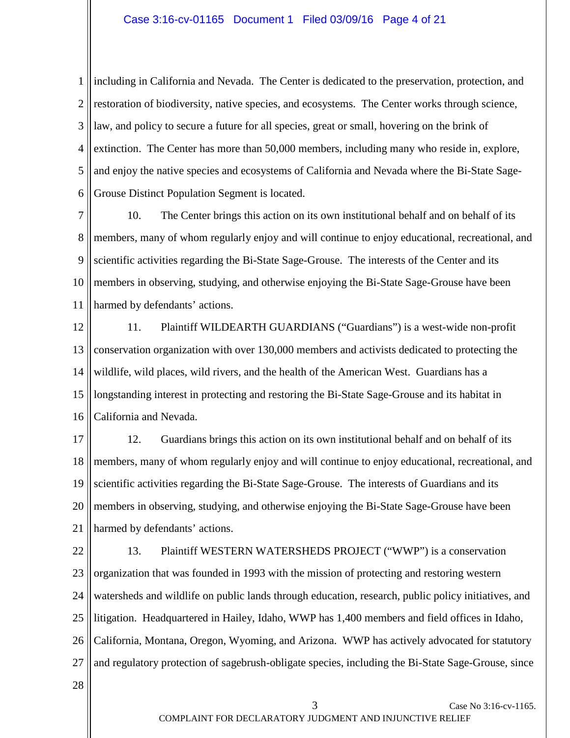## Case 3:16-cv-01165 Document 1 Filed 03/09/16 Page 4 of 21

1 2 3 4 5 6 including in California and Nevada. The Center is dedicated to the preservation, protection, and restoration of biodiversity, native species, and ecosystems. The Center works through science, law, and policy to secure a future for all species, great or small, hovering on the brink of extinction. The Center has more than 50,000 members, including many who reside in, explore, and enjoy the native species and ecosystems of California and Nevada where the Bi-State Sage-Grouse Distinct Population Segment is located.

7 8 9 10 11 10. The Center brings this action on its own institutional behalf and on behalf of its members, many of whom regularly enjoy and will continue to enjoy educational, recreational, and scientific activities regarding the Bi-State Sage-Grouse. The interests of the Center and its members in observing, studying, and otherwise enjoying the Bi-State Sage-Grouse have been harmed by defendants' actions.

12 13 14 15 16 11. Plaintiff WILDEARTH GUARDIANS ("Guardians") is a west-wide non-profit conservation organization with over 130,000 members and activists dedicated to protecting the wildlife, wild places, wild rivers, and the health of the American West. Guardians has a longstanding interest in protecting and restoring the Bi-State Sage-Grouse and its habitat in California and Nevada.

17 18 19 20 21 12. Guardians brings this action on its own institutional behalf and on behalf of its members, many of whom regularly enjoy and will continue to enjoy educational, recreational, and scientific activities regarding the Bi-State Sage-Grouse. The interests of Guardians and its members in observing, studying, and otherwise enjoying the Bi-State Sage-Grouse have been harmed by defendants' actions.

22 23 24 25 26 27 13. Plaintiff WESTERN WATERSHEDS PROJECT ("WWP") is a conservation organization that was founded in 1993 with the mission of protecting and restoring western watersheds and wildlife on public lands through education, research, public policy initiatives, and litigation. Headquartered in Hailey, Idaho, WWP has 1,400 members and field offices in Idaho, California, Montana, Oregon, Wyoming, and Arizona. WWP has actively advocated for statutory and regulatory protection of sagebrush-obligate species, including the Bi-State Sage-Grouse, since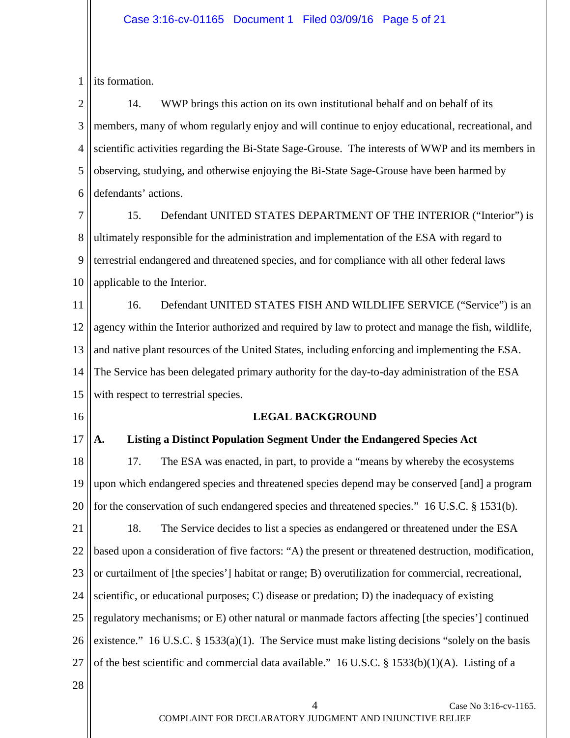1 its formation.

2 3 4 5 6 14. WWP brings this action on its own institutional behalf and on behalf of its members, many of whom regularly enjoy and will continue to enjoy educational, recreational, and scientific activities regarding the Bi-State Sage-Grouse. The interests of WWP and its members in observing, studying, and otherwise enjoying the Bi-State Sage-Grouse have been harmed by defendants' actions.

7 8 9 10 15. Defendant UNITED STATES DEPARTMENT OF THE INTERIOR ("Interior") is ultimately responsible for the administration and implementation of the ESA with regard to terrestrial endangered and threatened species, and for compliance with all other federal laws applicable to the Interior.

11 12 13 14 15 16. Defendant UNITED STATES FISH AND WILDLIFE SERVICE ("Service") is an agency within the Interior authorized and required by law to protect and manage the fish, wildlife, and native plant resources of the United States, including enforcing and implementing the ESA. The Service has been delegated primary authority for the day-to-day administration of the ESA with respect to terrestrial species.

16

17

## **LEGAL BACKGROUND**

### **A. Listing a Distinct Population Segment Under the Endangered Species Act**

18 19 20 17. The ESA was enacted, in part, to provide a "means by whereby the ecosystems upon which endangered species and threatened species depend may be conserved [and] a program for the conservation of such endangered species and threatened species." 16 U.S.C. § 1531(b).

21 22 23 24 25 26 27 18. The Service decides to list a species as endangered or threatened under the ESA based upon a consideration of five factors: "A) the present or threatened destruction, modification, or curtailment of [the species'] habitat or range; B) overutilization for commercial, recreational, scientific, or educational purposes; C) disease or predation; D) the inadequacy of existing regulatory mechanisms; or E) other natural or manmade factors affecting [the species'] continued existence." 16 U.S.C. § 1533(a)(1). The Service must make listing decisions "solely on the basis of the best scientific and commercial data available." 16 U.S.C. § 1533(b)(1)(A). Listing of a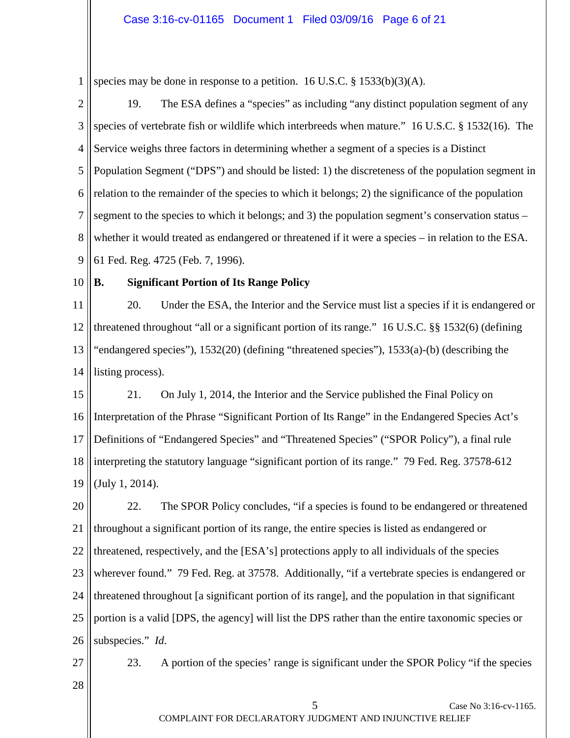1 species may be done in response to a petition. 16 U.S.C. § 1533(b)(3)(A).

2 3 4 5 6 7 8 9 19. The ESA defines a "species" as including "any distinct population segment of any species of vertebrate fish or wildlife which interbreeds when mature." 16 U.S.C. § 1532(16). The Service weighs three factors in determining whether a segment of a species is a Distinct Population Segment ("DPS") and should be listed: 1) the discreteness of the population segment in relation to the remainder of the species to which it belongs; 2) the significance of the population segment to the species to which it belongs; and 3) the population segment's conservation status – whether it would treated as endangered or threatened if it were a species – in relation to the ESA. 61 Fed. Reg. 4725 (Feb. 7, 1996).

10

## **B. Significant Portion of Its Range Policy**

11 12 13 14 20. Under the ESA, the Interior and the Service must list a species if it is endangered or threatened throughout "all or a significant portion of its range." 16 U.S.C. §§ 1532(6) (defining "endangered species"), 1532(20) (defining "threatened species"), 1533(a)-(b) (describing the listing process).

15 16 17 18 19 21. On July 1, 2014, the Interior and the Service published the Final Policy on Interpretation of the Phrase "Significant Portion of Its Range" in the Endangered Species Act's Definitions of "Endangered Species" and "Threatened Species" ("SPOR Policy"), a final rule interpreting the statutory language "significant portion of its range." 79 Fed. Reg. 37578-612 (July 1, 2014).

20 21 22 23 24 25 26 22. The SPOR Policy concludes, "if a species is found to be endangered or threatened throughout a significant portion of its range, the entire species is listed as endangered or threatened, respectively, and the [ESA's] protections apply to all individuals of the species wherever found." 79 Fed. Reg. at 37578. Additionally, "if a vertebrate species is endangered or threatened throughout [a significant portion of its range], and the population in that significant portion is a valid [DPS, the agency] will list the DPS rather than the entire taxonomic species or subspecies." *Id*.

27

23. A portion of the species' range is significant under the SPOR Policy "if the species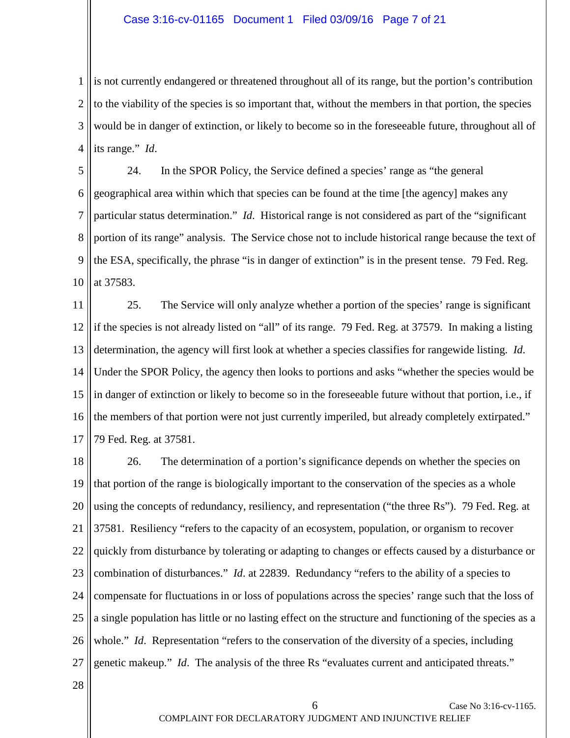#### Case 3:16-cv-01165 Document 1 Filed 03/09/16 Page 7 of 21

1 2 3 4 is not currently endangered or threatened throughout all of its range, but the portion's contribution to the viability of the species is so important that, without the members in that portion, the species would be in danger of extinction, or likely to become so in the foreseeable future, throughout all of its range." *Id*.

5 6 7 8 9 10 24. In the SPOR Policy, the Service defined a species' range as "the general geographical area within which that species can be found at the time [the agency] makes any particular status determination." *Id*. Historical range is not considered as part of the "significant portion of its range" analysis. The Service chose not to include historical range because the text of the ESA, specifically, the phrase "is in danger of extinction" is in the present tense. 79 Fed. Reg. at 37583.

11 12 13 14 15 16 17 25. The Service will only analyze whether a portion of the species' range is significant if the species is not already listed on "all" of its range. 79 Fed. Reg. at 37579. In making a listing determination, the agency will first look at whether a species classifies for rangewide listing. *Id*. Under the SPOR Policy, the agency then looks to portions and asks "whether the species would be in danger of extinction or likely to become so in the foreseeable future without that portion, i.e., if the members of that portion were not just currently imperiled, but already completely extirpated." 79 Fed. Reg. at 37581.

18 19 20 21 22 23 24 25 26 27 26. The determination of a portion's significance depends on whether the species on that portion of the range is biologically important to the conservation of the species as a whole using the concepts of redundancy, resiliency, and representation ("the three Rs"). 79 Fed. Reg. at 37581. Resiliency "refers to the capacity of an ecosystem, population, or organism to recover quickly from disturbance by tolerating or adapting to changes or effects caused by a disturbance or combination of disturbances." *Id*. at 22839. Redundancy "refers to the ability of a species to compensate for fluctuations in or loss of populations across the species' range such that the loss of a single population has little or no lasting effect on the structure and functioning of the species as a whole." *Id.* Representation "refers to the conservation of the diversity of a species, including genetic makeup." *Id*. The analysis of the three Rs "evaluates current and anticipated threats."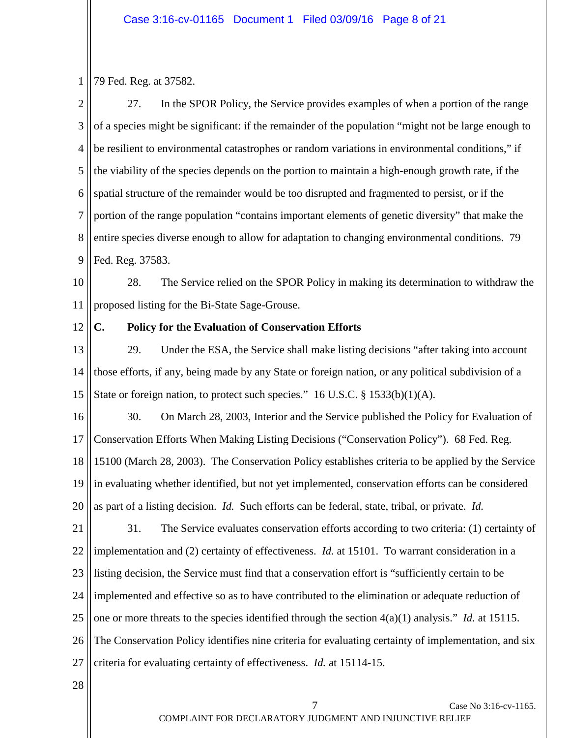1 79 Fed. Reg. at 37582.

2 3 4 5 6 7 8 9 27. In the SPOR Policy, the Service provides examples of when a portion of the range of a species might be significant: if the remainder of the population "might not be large enough to be resilient to environmental catastrophes or random variations in environmental conditions," if the viability of the species depends on the portion to maintain a high-enough growth rate, if the spatial structure of the remainder would be too disrupted and fragmented to persist, or if the portion of the range population "contains important elements of genetic diversity" that make the entire species diverse enough to allow for adaptation to changing environmental conditions. 79 Fed. Reg. 37583.

10 11 28. The Service relied on the SPOR Policy in making its determination to withdraw the proposed listing for the Bi-State Sage-Grouse.

12

## **C. Policy for the Evaluation of Conservation Efforts**

13 14 15 29. Under the ESA, the Service shall make listing decisions "after taking into account those efforts, if any, being made by any State or foreign nation, or any political subdivision of a State or foreign nation, to protect such species." 16 U.S.C. § 1533(b)(1)(A).

16 17 18 19 20 30. On March 28, 2003, Interior and the Service published the Policy for Evaluation of Conservation Efforts When Making Listing Decisions ("Conservation Policy"). 68 Fed. Reg. 15100 (March 28, 2003). The Conservation Policy establishes criteria to be applied by the Service in evaluating whether identified, but not yet implemented, conservation efforts can be considered as part of a listing decision. *Id.* Such efforts can be federal, state, tribal, or private. *Id.* 

21 22 23 24 25 26 27 31. The Service evaluates conservation efforts according to two criteria: (1) certainty of implementation and (2) certainty of effectiveness. *Id.* at 15101. To warrant consideration in a listing decision, the Service must find that a conservation effort is "sufficiently certain to be implemented and effective so as to have contributed to the elimination or adequate reduction of one or more threats to the species identified through the section 4(a)(1) analysis." *Id.* at 15115. The Conservation Policy identifies nine criteria for evaluating certainty of implementation, and six criteria for evaluating certainty of effectiveness. *Id.* at 15114-15.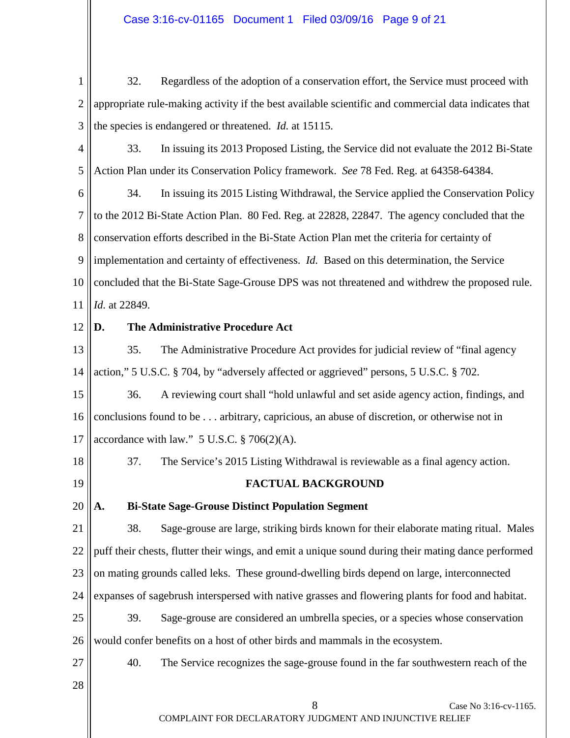1 2 3 32. Regardless of the adoption of a conservation effort, the Service must proceed with appropriate rule-making activity if the best available scientific and commercial data indicates that the species is endangered or threatened. *Id.* at 15115.

4 5 33. In issuing its 2013 Proposed Listing, the Service did not evaluate the 2012 Bi-State Action Plan under its Conservation Policy framework. *See* 78 Fed. Reg. at 64358-64384.

6 7 8 9 10 11 34. In issuing its 2015 Listing Withdrawal, the Service applied the Conservation Policy to the 2012 Bi-State Action Plan. 80 Fed. Reg. at 22828, 22847. The agency concluded that the conservation efforts described in the Bi-State Action Plan met the criteria for certainty of implementation and certainty of effectiveness. *Id.* Based on this determination, the Service concluded that the Bi-State Sage-Grouse DPS was not threatened and withdrew the proposed rule. *Id.* at 22849.

12

## **D. The Administrative Procedure Act**

13 14 35. The Administrative Procedure Act provides for judicial review of "final agency action," 5 U.S.C. § 704, by "adversely affected or aggrieved" persons, 5 U.S.C. § 702.

15 16 17 36. A reviewing court shall "hold unlawful and set aside agency action, findings, and conclusions found to be . . . arbitrary, capricious, an abuse of discretion, or otherwise not in accordance with law." 5 U.S.C. § 706(2)(A).

18 37. The Service's 2015 Listing Withdrawal is reviewable as a final agency action.

19

## **FACTUAL BACKGROUND**

20 **A. Bi-State Sage-Grouse Distinct Population Segment**

21 22 23 24 25 26 38. Sage-grouse are large, striking birds known for their elaborate mating ritual. Males puff their chests, flutter their wings, and emit a unique sound during their mating dance performed on mating grounds called leks. These ground-dwelling birds depend on large, interconnected expanses of sagebrush interspersed with native grasses and flowering plants for food and habitat. 39. Sage-grouse are considered an umbrella species, or a species whose conservation would confer benefits on a host of other birds and mammals in the ecosystem.

27 40. The Service recognizes the sage-grouse found in the far southwestern reach of the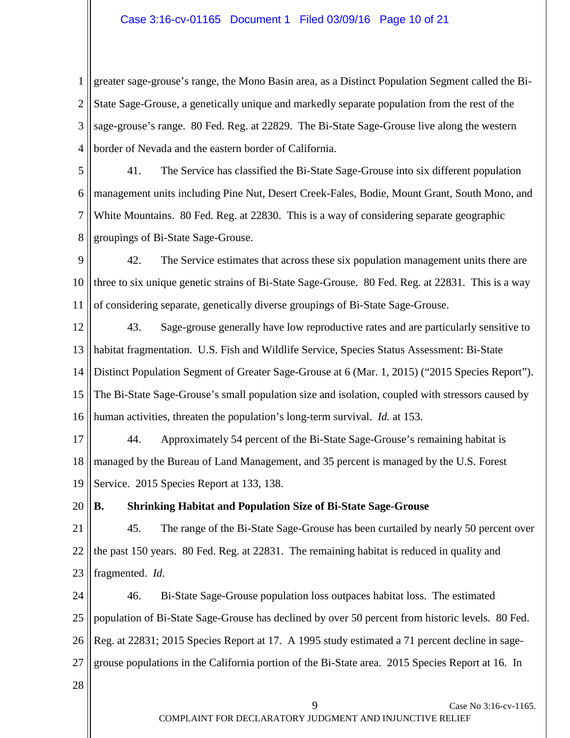## Case 3:16-cv-01165 Document 1 Filed 03/09/16 Page 10 of 21

1 2 3 4 greater sage-grouse's range, the Mono Basin area, as a Distinct Population Segment called the Bi-State Sage-Grouse, a genetically unique and markedly separate population from the rest of the sage-grouse's range. 80 Fed. Reg. at 22829. The Bi-State Sage-Grouse live along the western border of Nevada and the eastern border of California.

5 6 7 8 41. The Service has classified the Bi-State Sage-Grouse into six different population management units including Pine Nut, Desert Creek-Fales, Bodie, Mount Grant, South Mono, and White Mountains. 80 Fed. Reg. at 22830. This is a way of considering separate geographic groupings of Bi-State Sage-Grouse.

9 10 11 42. The Service estimates that across these six population management units there are three to six unique genetic strains of Bi-State Sage-Grouse. 80 Fed. Reg. at 22831. This is a way of considering separate, genetically diverse groupings of Bi-State Sage-Grouse.

12 13 14 15 16 43. Sage-grouse generally have low reproductive rates and are particularly sensitive to habitat fragmentation. U.S. Fish and Wildlife Service, Species Status Assessment: Bi-State Distinct Population Segment of Greater Sage-Grouse at 6 (Mar. 1, 2015) ("2015 Species Report"). The Bi-State Sage-Grouse's small population size and isolation, coupled with stressors caused by human activities, threaten the population's long-term survival. *Id.* at 153.

17 18 19 44. Approximately 54 percent of the Bi-State Sage-Grouse's remaining habitat is managed by the Bureau of Land Management, and 35 percent is managed by the U.S. Forest Service. 2015 Species Report at 133, 138.

20

## **B. Shrinking Habitat and Population Size of Bi-State Sage-Grouse**

21 22 23 45. The range of the Bi-State Sage-Grouse has been curtailed by nearly 50 percent over the past 150 years. 80 Fed. Reg. at 22831. The remaining habitat is reduced in quality and fragmented. *Id*.

24 25 26 27 46. Bi-State Sage-Grouse population loss outpaces habitat loss. The estimated population of Bi-State Sage-Grouse has declined by over 50 percent from historic levels. 80 Fed. Reg. at 22831; 2015 Species Report at 17. A 1995 study estimated a 71 percent decline in sagegrouse populations in the California portion of the Bi-State area. 2015 Species Report at 16. In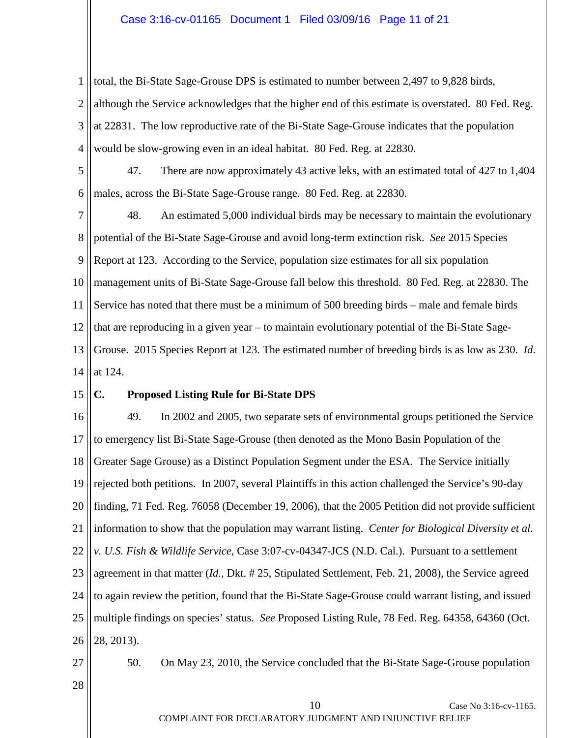## Case 3:16-cv-01165 Document 1 Filed 03/09/16 Page 11 of 21

total, the Bi-State Sage-Grouse DPS is estimated to number between 2,497 to 9,828 birds,

2 3 4 although the Service acknowledges that the higher end of this estimate is overstated. 80 Fed. Reg. at 22831. The low reproductive rate of the Bi-State Sage-Grouse indicates that the population would be slow-growing even in an ideal habitat. 80 Fed. Reg. at 22830.

5 6 47. There are now approximately 43 active leks, with an estimated total of 427 to 1,404 males, across the Bi-State Sage-Grouse range. 80 Fed. Reg. at 22830.

7 8 9 10 11 12 13 14 48. An estimated 5,000 individual birds may be necessary to maintain the evolutionary potential of the Bi-State Sage-Grouse and avoid long-term extinction risk. *See* 2015 Species Report at 123. According to the Service, population size estimates for all six population management units of Bi-State Sage-Grouse fall below this threshold. 80 Fed. Reg. at 22830. The Service has noted that there must be a minimum of 500 breeding birds – male and female birds that are reproducing in a given year – to maintain evolutionary potential of the Bi-State Sage-Grouse. 2015 Species Report at 123. The estimated number of breeding birds is as low as 230. *Id*. at 124.

#### 15 **C. Proposed Listing Rule for Bi-State DPS**

16 17 18 19 20 21 22 23 24 25 26 49. In 2002 and 2005, two separate sets of environmental groups petitioned the Service to emergency list Bi-State Sage-Grouse (then denoted as the Mono Basin Population of the Greater Sage Grouse) as a Distinct Population Segment under the ESA. The Service initially rejected both petitions. In 2007, several Plaintiffs in this action challenged the Service's 90-day finding, 71 Fed. Reg. 76058 (December 19, 2006), that the 2005 Petition did not provide sufficient information to show that the population may warrant listing. *Center for Biological Diversity et al. v. U.S. Fish & Wildlife Service*, Case 3:07-cv-04347-JCS (N.D. Cal.). Pursuant to a settlement agreement in that matter (*Id.,* Dkt. # 25, Stipulated Settlement, Feb. 21, 2008), the Service agreed to again review the petition, found that the Bi-State Sage-Grouse could warrant listing, and issued multiple findings on species' status. *See* Proposed Listing Rule, 78 Fed. Reg. 64358, 64360 (Oct. 28, 2013).

27

50. On May 23, 2010, the Service concluded that the Bi-State Sage-Grouse population

28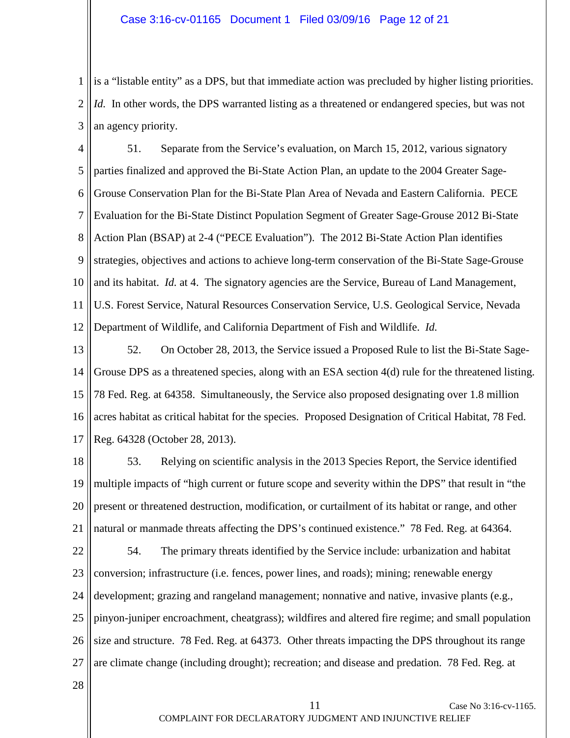1 2 3 is a "listable entity" as a DPS, but that immediate action was precluded by higher listing priorities. *Id.* In other words, the DPS warranted listing as a threatened or endangered species, but was not an agency priority.

4 5 6 7 8 9 10 11 12 51. Separate from the Service's evaluation, on March 15, 2012, various signatory parties finalized and approved the Bi-State Action Plan, an update to the 2004 Greater Sage-Grouse Conservation Plan for the Bi-State Plan Area of Nevada and Eastern California. PECE Evaluation for the Bi-State Distinct Population Segment of Greater Sage-Grouse 2012 Bi-State Action Plan (BSAP) at 2-4 ("PECE Evaluation"). The 2012 Bi-State Action Plan identifies strategies, objectives and actions to achieve long-term conservation of the Bi-State Sage-Grouse and its habitat. *Id.* at 4. The signatory agencies are the Service, Bureau of Land Management, U.S. Forest Service, Natural Resources Conservation Service, U.S. Geological Service, Nevada Department of Wildlife, and California Department of Fish and Wildlife. *Id.*

13 14 15 16 17 52. On October 28, 2013, the Service issued a Proposed Rule to list the Bi-State Sage-Grouse DPS as a threatened species, along with an ESA section 4(d) rule for the threatened listing. 78 Fed. Reg. at 64358. Simultaneously, the Service also proposed designating over 1.8 million acres habitat as critical habitat for the species. Proposed Designation of Critical Habitat, 78 Fed. Reg. 64328 (October 28, 2013).

18 19 20 21 53. Relying on scientific analysis in the 2013 Species Report, the Service identified multiple impacts of "high current or future scope and severity within the DPS" that result in "the present or threatened destruction, modification, or curtailment of its habitat or range, and other natural or manmade threats affecting the DPS's continued existence." 78 Fed. Reg. at 64364.

22 23 24 25 26 27 54. The primary threats identified by the Service include: urbanization and habitat conversion; infrastructure (i.e. fences, power lines, and roads); mining; renewable energy development; grazing and rangeland management; nonnative and native, invasive plants (e.g., pinyon-juniper encroachment, cheatgrass); wildfires and altered fire regime; and small population size and structure. 78 Fed. Reg. at 64373. Other threats impacting the DPS throughout its range are climate change (including drought); recreation; and disease and predation. 78 Fed. Reg. at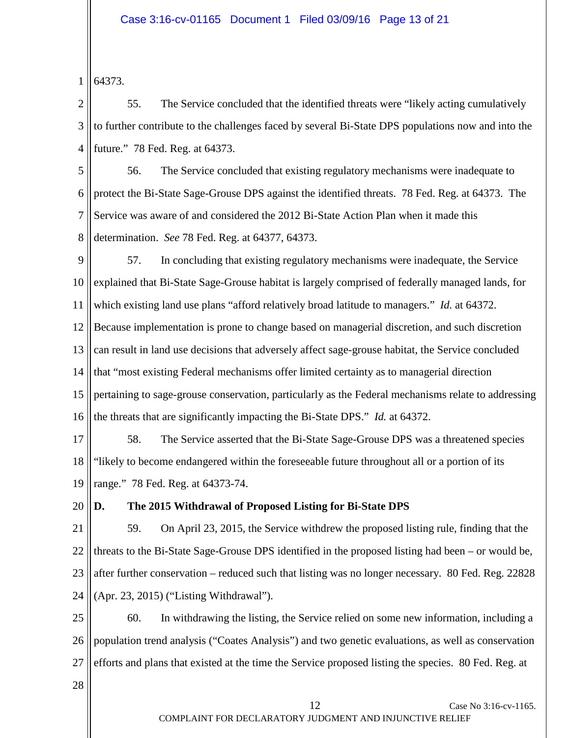1 64373.

2 3 4 55. The Service concluded that the identified threats were "likely acting cumulatively to further contribute to the challenges faced by several Bi-State DPS populations now and into the future." 78 Fed. Reg. at 64373.

5 6 7 8 56. The Service concluded that existing regulatory mechanisms were inadequate to protect the Bi-State Sage-Grouse DPS against the identified threats. 78 Fed. Reg. at 64373. The Service was aware of and considered the 2012 Bi-State Action Plan when it made this determination. *See* 78 Fed. Reg. at 64377, 64373.

9 10 11 12 13 14 15 16 57. In concluding that existing regulatory mechanisms were inadequate, the Service explained that Bi-State Sage-Grouse habitat is largely comprised of federally managed lands, for which existing land use plans "afford relatively broad latitude to managers." *Id.* at 64372. Because implementation is prone to change based on managerial discretion, and such discretion can result in land use decisions that adversely affect sage-grouse habitat, the Service concluded that "most existing Federal mechanisms offer limited certainty as to managerial direction pertaining to sage-grouse conservation, particularly as the Federal mechanisms relate to addressing the threats that are significantly impacting the Bi-State DPS." *Id.* at 64372.

17 18 19 58. The Service asserted that the Bi-State Sage-Grouse DPS was a threatened species "likely to become endangered within the foreseeable future throughout all or a portion of its range." 78 Fed. Reg. at 64373-74.

20

## **D. The 2015 Withdrawal of Proposed Listing for Bi-State DPS**

21 22 23 24 59. On April 23, 2015, the Service withdrew the proposed listing rule, finding that the threats to the Bi-State Sage-Grouse DPS identified in the proposed listing had been – or would be, after further conservation – reduced such that listing was no longer necessary. 80 Fed. Reg. 22828 (Apr. 23, 2015) ("Listing Withdrawal").

25 26 27 60. In withdrawing the listing, the Service relied on some new information, including a population trend analysis ("Coates Analysis") and two genetic evaluations, as well as conservation efforts and plans that existed at the time the Service proposed listing the species. 80 Fed. Reg. at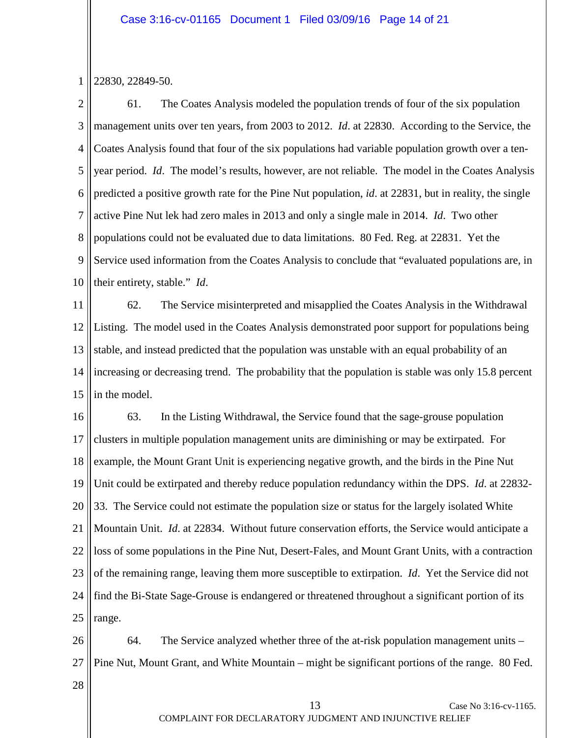1 22830, 22849-50.

2 3 4 5 6 7 8 9 10 61. The Coates Analysis modeled the population trends of four of the six population management units over ten years, from 2003 to 2012. *Id*. at 22830. According to the Service, the Coates Analysis found that four of the six populations had variable population growth over a tenyear period. *Id*. The model's results, however, are not reliable. The model in the Coates Analysis predicted a positive growth rate for the Pine Nut population, *id*. at 22831, but in reality, the single active Pine Nut lek had zero males in 2013 and only a single male in 2014. *Id*. Two other populations could not be evaluated due to data limitations. 80 Fed. Reg. at 22831. Yet the Service used information from the Coates Analysis to conclude that "evaluated populations are, in their entirety, stable." *Id*.

11 12 13 14 15 62. The Service misinterpreted and misapplied the Coates Analysis in the Withdrawal Listing. The model used in the Coates Analysis demonstrated poor support for populations being stable, and instead predicted that the population was unstable with an equal probability of an increasing or decreasing trend. The probability that the population is stable was only 15.8 percent in the model.

16 17 18 19 20 21 22 23 24 25 63. In the Listing Withdrawal, the Service found that the sage-grouse population clusters in multiple population management units are diminishing or may be extirpated. For example, the Mount Grant Unit is experiencing negative growth, and the birds in the Pine Nut Unit could be extirpated and thereby reduce population redundancy within the DPS. *Id*. at 22832- 33. The Service could not estimate the population size or status for the largely isolated White Mountain Unit. *Id*. at 22834. Without future conservation efforts, the Service would anticipate a loss of some populations in the Pine Nut, Desert-Fales, and Mount Grant Units, with a contraction of the remaining range, leaving them more susceptible to extirpation. *Id*. Yet the Service did not find the Bi-State Sage-Grouse is endangered or threatened throughout a significant portion of its range.

26 27 64. The Service analyzed whether three of the at-risk population management units – Pine Nut, Mount Grant, and White Mountain – might be significant portions of the range. 80 Fed.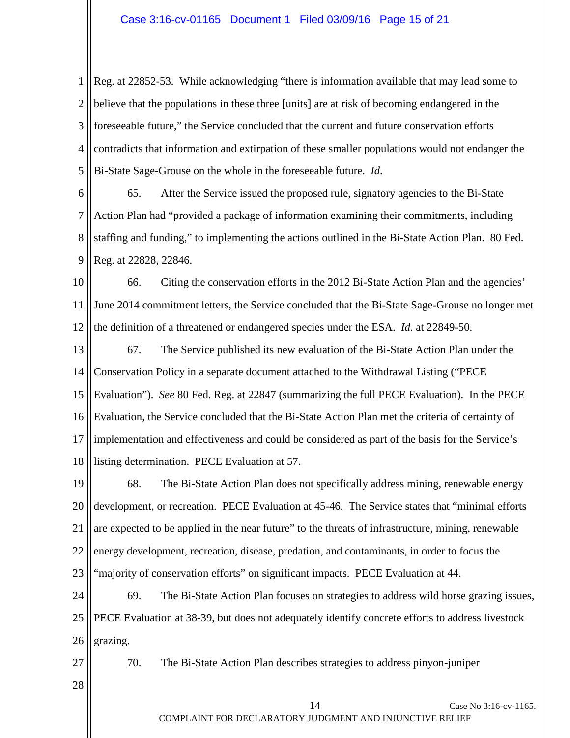## Case 3:16-cv-01165 Document 1 Filed 03/09/16 Page 15 of 21

1 2 3 4 5 Reg. at 22852-53. While acknowledging "there is information available that may lead some to believe that the populations in these three [units] are at risk of becoming endangered in the foreseeable future," the Service concluded that the current and future conservation efforts contradicts that information and extirpation of these smaller populations would not endanger the Bi-State Sage-Grouse on the whole in the foreseeable future. *Id*.

6 7 8 9 65. After the Service issued the proposed rule, signatory agencies to the Bi-State Action Plan had "provided a package of information examining their commitments, including staffing and funding," to implementing the actions outlined in the Bi-State Action Plan. 80 Fed. Reg. at 22828, 22846.

10 11 12 66. Citing the conservation efforts in the 2012 Bi-State Action Plan and the agencies' June 2014 commitment letters, the Service concluded that the Bi-State Sage-Grouse no longer met the definition of a threatened or endangered species under the ESA. *Id.* at 22849-50.

13 14 15 16 17 18 67. The Service published its new evaluation of the Bi-State Action Plan under the Conservation Policy in a separate document attached to the Withdrawal Listing ("PECE Evaluation"). *See* 80 Fed. Reg. at 22847 (summarizing the full PECE Evaluation). In the PECE Evaluation, the Service concluded that the Bi-State Action Plan met the criteria of certainty of implementation and effectiveness and could be considered as part of the basis for the Service's listing determination. PECE Evaluation at 57.

19 20 21 22 23 68. The Bi-State Action Plan does not specifically address mining, renewable energy development, or recreation. PECE Evaluation at 45-46. The Service states that "minimal efforts are expected to be applied in the near future" to the threats of infrastructure, mining, renewable energy development, recreation, disease, predation, and contaminants, in order to focus the "majority of conservation efforts" on significant impacts. PECE Evaluation at 44.

24 25 26 69. The Bi-State Action Plan focuses on strategies to address wild horse grazing issues, PECE Evaluation at 38-39, but does not adequately identify concrete efforts to address livestock grazing.

27

70. The Bi-State Action Plan describes strategies to address pinyon-juniper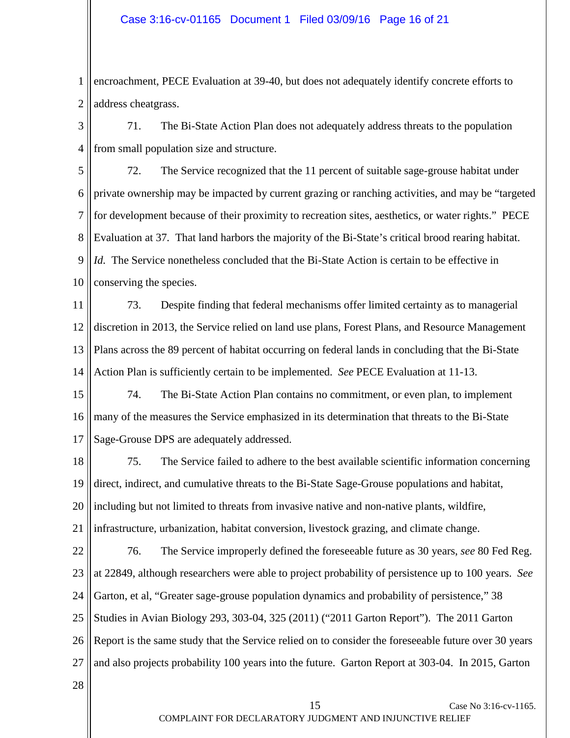1 2 encroachment, PECE Evaluation at 39-40, but does not adequately identify concrete efforts to address cheatgrass.

3 4 71. The Bi-State Action Plan does not adequately address threats to the population from small population size and structure.

5 6 7 8 9 10 72. The Service recognized that the 11 percent of suitable sage-grouse habitat under private ownership may be impacted by current grazing or ranching activities, and may be "targeted for development because of their proximity to recreation sites, aesthetics, or water rights." PECE Evaluation at 37*.* That land harbors the majority of the Bi-State's critical brood rearing habitat. *Id.* The Service nonetheless concluded that the Bi-State Action is certain to be effective in conserving the species.

11 12 13 14 73. Despite finding that federal mechanisms offer limited certainty as to managerial discretion in 2013, the Service relied on land use plans, Forest Plans, and Resource Management Plans across the 89 percent of habitat occurring on federal lands in concluding that the Bi-State Action Plan is sufficiently certain to be implemented. *See* PECE Evaluation at 11-13.

15 16 17 74. The Bi-State Action Plan contains no commitment, or even plan, to implement many of the measures the Service emphasized in its determination that threats to the Bi-State Sage-Grouse DPS are adequately addressed.

18 19 20 21 75. The Service failed to adhere to the best available scientific information concerning direct, indirect, and cumulative threats to the Bi-State Sage-Grouse populations and habitat, including but not limited to threats from invasive native and non-native plants, wildfire, infrastructure, urbanization, habitat conversion, livestock grazing, and climate change.

22 23 24 25 26 27 76. The Service improperly defined the foreseeable future as 30 years, *see* 80 Fed Reg. at 22849, although researchers were able to project probability of persistence up to 100 years. *See* Garton, et al, "Greater sage-grouse population dynamics and probability of persistence," 38 Studies in Avian Biology 293, 303-04, 325 (2011) ("2011 Garton Report"). The 2011 Garton Report is the same study that the Service relied on to consider the foreseeable future over 30 years and also projects probability 100 years into the future. Garton Report at 303-04. In 2015, Garton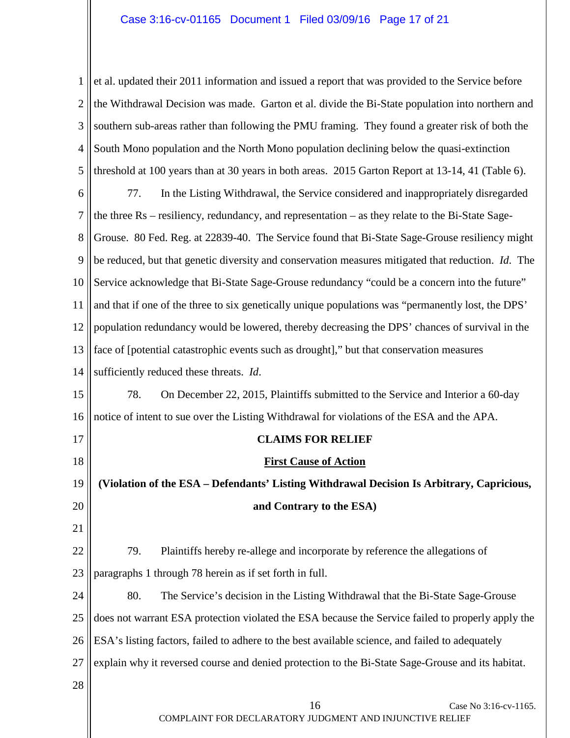## Case 3:16-cv-01165 Document 1 Filed 03/09/16 Page 17 of 21

1 2 3 4 5 6 7 8 9 10 11 12 13 14 15 16 17 18 19 20 21 22 23 24 25 26 27 28 16 Case No 3:16-cv-1165. COMPLAINT FOR DECLARATORY JUDGMENT AND INJUNCTIVE RELIEF et al. updated their 2011 information and issued a report that was provided to the Service before the Withdrawal Decision was made. Garton et al. divide the Bi-State population into northern and southern sub-areas rather than following the PMU framing. They found a greater risk of both the South Mono population and the North Mono population declining below the quasi-extinction threshold at 100 years than at 30 years in both areas. 2015 Garton Report at 13-14, 41 (Table 6). 77. In the Listing Withdrawal, the Service considered and inappropriately disregarded the three Rs – resiliency, redundancy, and representation – as they relate to the Bi-State Sage-Grouse. 80 Fed. Reg. at 22839-40. The Service found that Bi-State Sage-Grouse resiliency might be reduced, but that genetic diversity and conservation measures mitigated that reduction. *Id*. The Service acknowledge that Bi-State Sage-Grouse redundancy "could be a concern into the future" and that if one of the three to six genetically unique populations was "permanently lost, the DPS' population redundancy would be lowered, thereby decreasing the DPS' chances of survival in the face of [potential catastrophic events such as drought]," but that conservation measures sufficiently reduced these threats. *Id*. 78. On December 22, 2015, Plaintiffs submitted to the Service and Interior a 60-day notice of intent to sue over the Listing Withdrawal for violations of the ESA and the APA. **CLAIMS FOR RELIEF First Cause of Action (Violation of the ESA – Defendants' Listing Withdrawal Decision Is Arbitrary, Capricious, and Contrary to the ESA)** 79. Plaintiffs hereby re-allege and incorporate by reference the allegations of paragraphs 1 through 78 herein as if set forth in full. 80. The Service's decision in the Listing Withdrawal that the Bi-State Sage-Grouse does not warrant ESA protection violated the ESA because the Service failed to properly apply the ESA's listing factors, failed to adhere to the best available science, and failed to adequately explain why it reversed course and denied protection to the Bi-State Sage-Grouse and its habitat.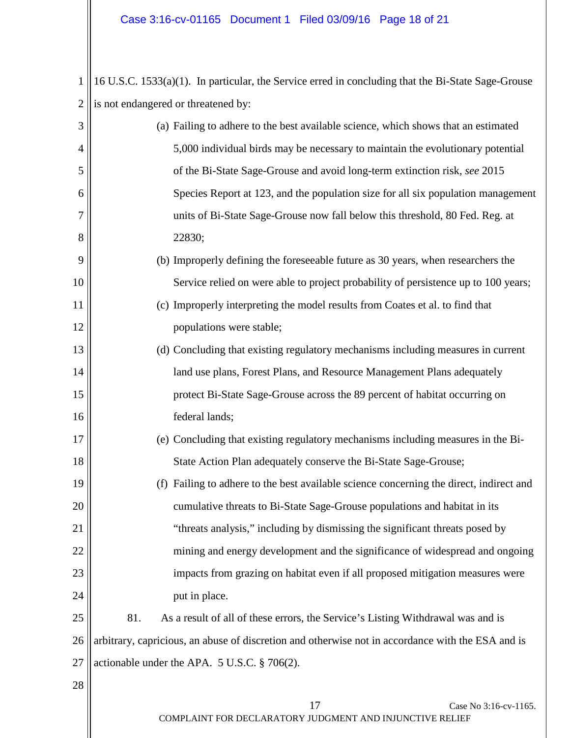1 16 U.S.C. 1533(a)(1). In particular, the Service erred in concluding that the Bi-State Sage-Grouse 2 || is not endangered or threatened by:

| 3  | (a) Failing to adhere to the best available science, which shows that an estimated                |  |
|----|---------------------------------------------------------------------------------------------------|--|
| 4  | 5,000 individual birds may be necessary to maintain the evolutionary potential                    |  |
| 5  | of the Bi-State Sage-Grouse and avoid long-term extinction risk, see 2015                         |  |
| 6  | Species Report at 123, and the population size for all six population management                  |  |
| 7  | units of Bi-State Sage-Grouse now fall below this threshold, 80 Fed. Reg. at                      |  |
| 8  | 22830;                                                                                            |  |
| 9  | (b) Improperly defining the foreseeable future as 30 years, when researchers the                  |  |
| 10 | Service relied on were able to project probability of persistence up to 100 years;                |  |
| 11 | (c) Improperly interpreting the model results from Coates et al. to find that                     |  |
| 12 | populations were stable;                                                                          |  |
| 13 | (d) Concluding that existing regulatory mechanisms including measures in current                  |  |
| 14 | land use plans, Forest Plans, and Resource Management Plans adequately                            |  |
| 15 | protect Bi-State Sage-Grouse across the 89 percent of habitat occurring on                        |  |
| 16 | federal lands;                                                                                    |  |
| 17 | (e) Concluding that existing regulatory mechanisms including measures in the Bi-                  |  |
| 18 | State Action Plan adequately conserve the Bi-State Sage-Grouse;                                   |  |
| 19 | Failing to adhere to the best available science concerning the direct, indirect and<br>(f)        |  |
| 20 | cumulative threats to Bi-State Sage-Grouse populations and habitat in its                         |  |
| 21 | "threats analysis," including by dismissing the significant threats posed by                      |  |
| 22 | mining and energy development and the significance of widespread and ongoing                      |  |
| 23 | impacts from grazing on habitat even if all proposed mitigation measures were                     |  |
| 24 | put in place.                                                                                     |  |
| 25 | 81.<br>As a result of all of these errors, the Service's Listing Withdrawal was and is            |  |
| 26 | arbitrary, capricious, an abuse of discretion and otherwise not in accordance with the ESA and is |  |
| 27 | actionable under the APA. $5$ U.S.C. $\S$ 706(2).                                                 |  |
| 28 |                                                                                                   |  |
|    | 17<br>Case No 3:16-cv-1165.                                                                       |  |

COMPLAINT FOR DECLARATORY JUDGMENT AND INJUNCTIVE RELIEF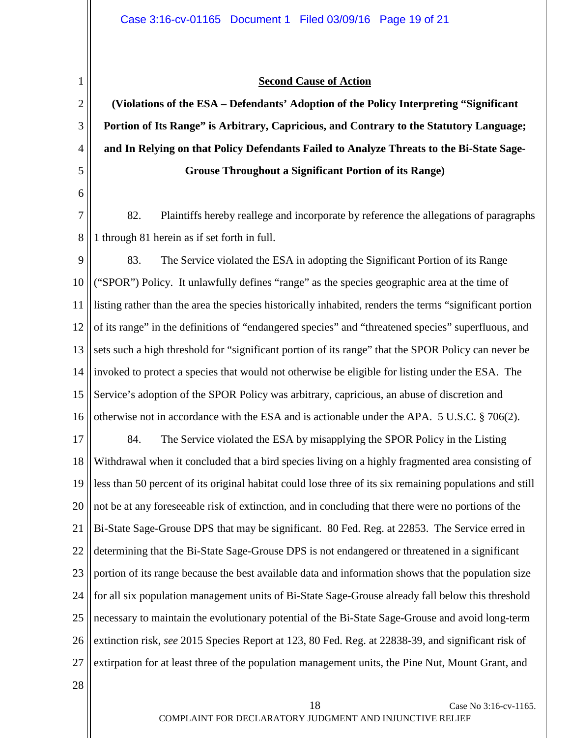1 2

3

4

5

6

#### **Second Cause of Action**

**(Violations of the ESA – Defendants' Adoption of the Policy Interpreting "Significant Portion of Its Range" is Arbitrary, Capricious, and Contrary to the Statutory Language; and In Relying on that Policy Defendants Failed to Analyze Threats to the Bi-State Sage-Grouse Throughout a Significant Portion of its Range)**

7 8 82. Plaintiffs hereby reallege and incorporate by reference the allegations of paragraphs 1 through 81 herein as if set forth in full.

9 10 11 12 13 14 15 16 83. The Service violated the ESA in adopting the Significant Portion of its Range ("SPOR") Policy. It unlawfully defines "range" as the species geographic area at the time of listing rather than the area the species historically inhabited, renders the terms "significant portion of its range" in the definitions of "endangered species" and "threatened species" superfluous, and sets such a high threshold for "significant portion of its range" that the SPOR Policy can never be invoked to protect a species that would not otherwise be eligible for listing under the ESA. The Service's adoption of the SPOR Policy was arbitrary, capricious, an abuse of discretion and otherwise not in accordance with the ESA and is actionable under the APA. 5 U.S.C. § 706(2).

17 18 19 20 21 22 23 24 25 26 27 84. The Service violated the ESA by misapplying the SPOR Policy in the Listing Withdrawal when it concluded that a bird species living on a highly fragmented area consisting of less than 50 percent of its original habitat could lose three of its six remaining populations and still not be at any foreseeable risk of extinction, and in concluding that there were no portions of the Bi-State Sage-Grouse DPS that may be significant. 80 Fed. Reg. at 22853. The Service erred in determining that the Bi-State Sage-Grouse DPS is not endangered or threatened in a significant portion of its range because the best available data and information shows that the population size for all six population management units of Bi-State Sage-Grouse already fall below this threshold necessary to maintain the evolutionary potential of the Bi-State Sage-Grouse and avoid long-term extinction risk, *see* 2015 Species Report at 123, 80 Fed. Reg. at 22838-39, and significant risk of extirpation for at least three of the population management units, the Pine Nut, Mount Grant, and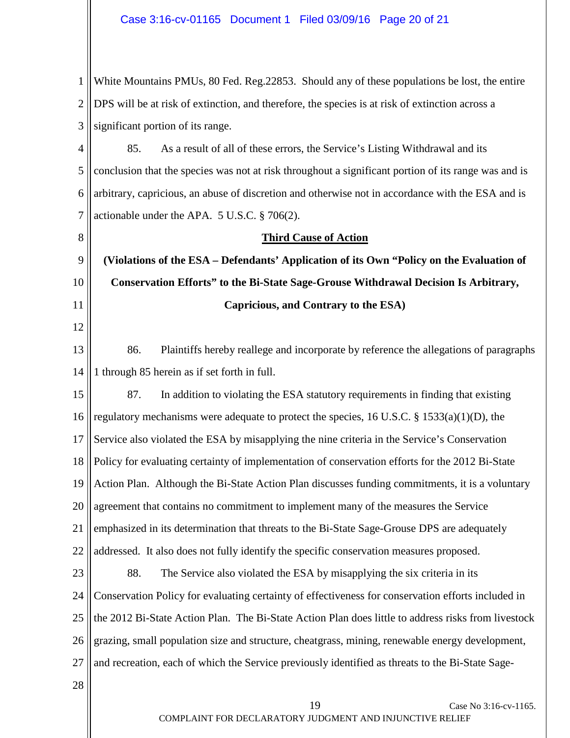1 2 3 4 White Mountains PMUs, 80 Fed. Reg.22853. Should any of these populations be lost, the entire DPS will be at risk of extinction, and therefore, the species is at risk of extinction across a significant portion of its range. 85. As a result of all of these errors, the Service's Listing Withdrawal and its

5 6 7 conclusion that the species was not at risk throughout a significant portion of its range was and is arbitrary, capricious, an abuse of discretion and otherwise not in accordance with the ESA and is actionable under the APA. 5 U.S.C. § 706(2).

9 10 11 **(Violations of the ESA – Defendants' Application of its Own "Policy on the Evaluation of Conservation Efforts" to the Bi-State Sage-Grouse Withdrawal Decision Is Arbitrary, Capricious, and Contrary to the ESA)**

**Third Cause of Action**

13 14 86. Plaintiffs hereby reallege and incorporate by reference the allegations of paragraphs 1 through 85 herein as if set forth in full.

15 16 17 18 19 20 21 22 23 87. In addition to violating the ESA statutory requirements in finding that existing regulatory mechanisms were adequate to protect the species, 16 U.S.C. § 1533(a)(1)(D), the Service also violated the ESA by misapplying the nine criteria in the Service's Conservation Policy for evaluating certainty of implementation of conservation efforts for the 2012 Bi-State Action Plan. Although the Bi-State Action Plan discusses funding commitments, it is a voluntary agreement that contains no commitment to implement many of the measures the Service emphasized in its determination that threats to the Bi-State Sage-Grouse DPS are adequately addressed. It also does not fully identify the specific conservation measures proposed. 88. The Service also violated the ESA by misapplying the six criteria in its

24 25 26 27 Conservation Policy for evaluating certainty of effectiveness for conservation efforts included in the 2012 Bi-State Action Plan. The Bi-State Action Plan does little to address risks from livestock grazing, small population size and structure, cheatgrass, mining, renewable energy development, and recreation, each of which the Service previously identified as threats to the Bi-State Sage-

28

8